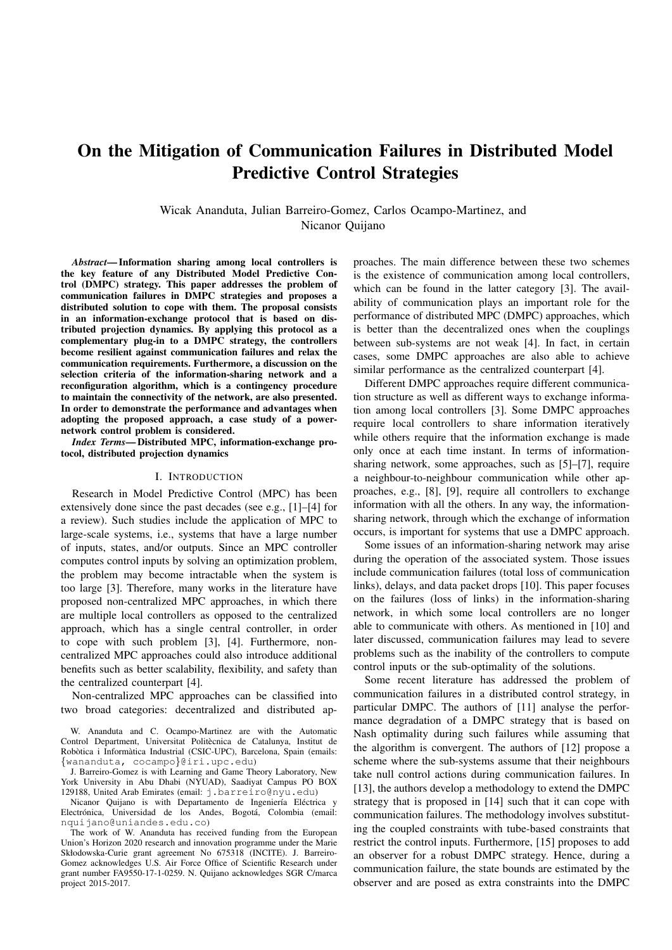# On the Mitigation of Communication Failures in Distributed Model Predictive Control Strategies

Wicak Ananduta, Julian Barreiro-Gomez, Carlos Ocampo-Martinez, and Nicanor Quijano

*Abstract*— Information sharing among local controllers is the key feature of any Distributed Model Predictive Control (DMPC) strategy. This paper addresses the problem of communication failures in DMPC strategies and proposes a distributed solution to cope with them. The proposal consists in an information-exchange protocol that is based on distributed projection dynamics. By applying this protocol as a complementary plug-in to a DMPC strategy, the controllers become resilient against communication failures and relax the communication requirements. Furthermore, a discussion on the selection criteria of the information-sharing network and a reconfiguration algorithm, which is a contingency procedure to maintain the connectivity of the network, are also presented. In order to demonstrate the performance and advantages when adopting the proposed approach, a case study of a powernetwork control problem is considered.

*Index Terms*— Distributed MPC, information-exchange protocol, distributed projection dynamics

#### I. INTRODUCTION

Research in Model Predictive Control (MPC) has been extensively done since the past decades (see e.g., [1]–[4] for a review). Such studies include the application of MPC to large-scale systems, i.e., systems that have a large number of inputs, states, and/or outputs. Since an MPC controller computes control inputs by solving an optimization problem, the problem may become intractable when the system is too large [3]. Therefore, many works in the literature have proposed non-centralized MPC approaches, in which there are multiple local controllers as opposed to the centralized approach, which has a single central controller, in order to cope with such problem [3], [4]. Furthermore, noncentralized MPC approaches could also introduce additional benefits such as better scalability, flexibility, and safety than the centralized counterpart [4].

Non-centralized MPC approaches can be classified into two broad categories: decentralized and distributed ap-

Nicanor Quijano is with Departamento de Ingeniería Eléctrica y Electrónica, Universidad de los Andes, Bogotá, Colombia (email: nquijano@uniandes.edu.co)

The work of W. Ananduta has received funding from the European Union's Horizon 2020 research and innovation programme under the Marie Skłodowska-Curie grant agreement No 675318 (INCITE). J. Barreiro-Gomez acknowledges U.S. Air Force Office of Scientific Research under grant number FA9550-17-1-0259. N. Quijano acknowledges SGR C/marca project 2015-2017.

proaches. The main difference between these two schemes is the existence of communication among local controllers, which can be found in the latter category [3]. The availability of communication plays an important role for the performance of distributed MPC (DMPC) approaches, which is better than the decentralized ones when the couplings between sub-systems are not weak [4]. In fact, in certain cases, some DMPC approaches are also able to achieve similar performance as the centralized counterpart [4].

Different DMPC approaches require different communication structure as well as different ways to exchange information among local controllers [3]. Some DMPC approaches require local controllers to share information iteratively while others require that the information exchange is made only once at each time instant. In terms of informationsharing network, some approaches, such as [5]–[7], require a neighbour-to-neighbour communication while other approaches, e.g., [8], [9], require all controllers to exchange information with all the others. In any way, the informationsharing network, through which the exchange of information occurs, is important for systems that use a DMPC approach.

Some issues of an information-sharing network may arise during the operation of the associated system. Those issues include communication failures (total loss of communication links), delays, and data packet drops [10]. This paper focuses on the failures (loss of links) in the information-sharing network, in which some local controllers are no longer able to communicate with others. As mentioned in [10] and later discussed, communication failures may lead to severe problems such as the inability of the controllers to compute control inputs or the sub-optimality of the solutions.

Some recent literature has addressed the problem of communication failures in a distributed control strategy, in particular DMPC. The authors of [11] analyse the performance degradation of a DMPC strategy that is based on Nash optimality during such failures while assuming that the algorithm is convergent. The authors of [12] propose a scheme where the sub-systems assume that their neighbours take null control actions during communication failures. In [13], the authors develop a methodology to extend the DMPC strategy that is proposed in [14] such that it can cope with communication failures. The methodology involves substituting the coupled constraints with tube-based constraints that restrict the control inputs. Furthermore, [15] proposes to add an observer for a robust DMPC strategy. Hence, during a communication failure, the state bounds are estimated by the observer and are posed as extra constraints into the DMPC

W. Ananduta and C. Ocampo-Martinez are with the Automatic Control Department, Universitat Politècnica de Catalunya, Institut de Robòtica i Informàtica Industrial (CSIC-UPC), Barcelona, Spain (emails: {wananduta, cocampo}@iri.upc.edu)

J. Barreiro-Gomez is with Learning and Game Theory Laboratory, New York University in Abu Dhabi (NYUAD), Saadiyat Campus PO BOX 129188, United Arab Emirates (email: j.barreiro@nyu.edu)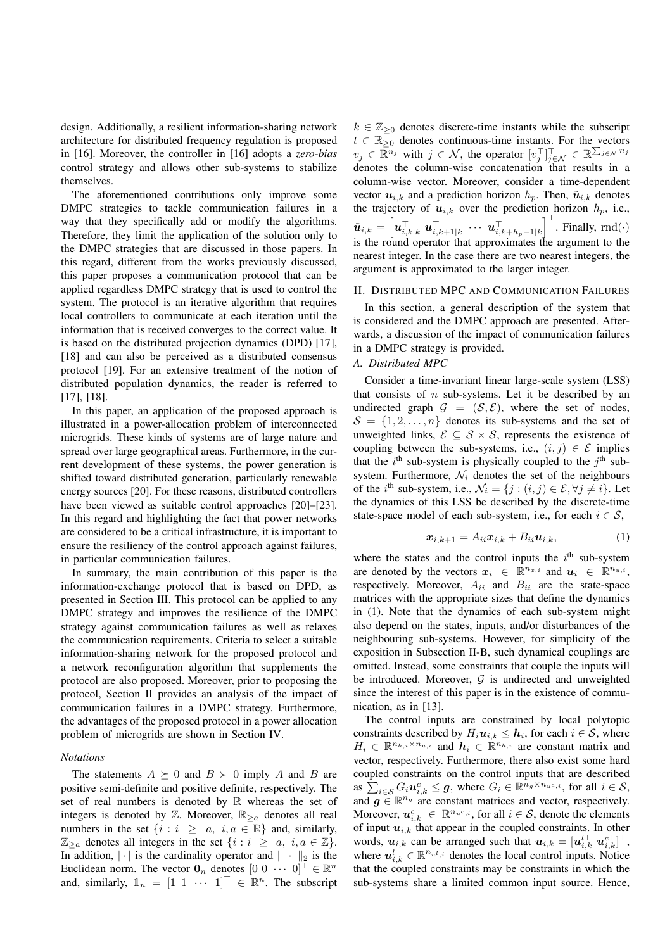design. Additionally, a resilient information-sharing network architecture for distributed frequency regulation is proposed in [16]. Moreover, the controller in [16] adopts a *zero-bias* control strategy and allows other sub-systems to stabilize themselves.

The aforementioned contributions only improve some DMPC strategies to tackle communication failures in a way that they specifically add or modify the algorithms. Therefore, they limit the application of the solution only to the DMPC strategies that are discussed in those papers. In this regard, different from the works previously discussed, this paper proposes a communication protocol that can be applied regardless DMPC strategy that is used to control the system. The protocol is an iterative algorithm that requires local controllers to communicate at each iteration until the information that is received converges to the correct value. It is based on the distributed projection dynamics (DPD) [17], [18] and can also be perceived as a distributed consensus protocol [19]. For an extensive treatment of the notion of distributed population dynamics, the reader is referred to [17], [18].

In this paper, an application of the proposed approach is illustrated in a power-allocation problem of interconnected microgrids. These kinds of systems are of large nature and spread over large geographical areas. Furthermore, in the current development of these systems, the power generation is shifted toward distributed generation, particularly renewable energy sources [20]. For these reasons, distributed controllers have been viewed as suitable control approaches [20]–[23]. In this regard and highlighting the fact that power networks are considered to be a critical infrastructure, it is important to ensure the resiliency of the control approach against failures, in particular communication failures.

In summary, the main contribution of this paper is the information-exchange protocol that is based on DPD, as presented in Section III. This protocol can be applied to any DMPC strategy and improves the resilience of the DMPC strategy against communication failures as well as relaxes the communication requirements. Criteria to select a suitable information-sharing network for the proposed protocol and a network reconfiguration algorithm that supplements the protocol are also proposed. Moreover, prior to proposing the protocol, Section II provides an analysis of the impact of communication failures in a DMPC strategy. Furthermore, the advantages of the proposed protocol in a power allocation problem of microgrids are shown in Section IV.

## *Notations*

The statements  $A \succeq 0$  and  $B \succ 0$  imply A and B are positive semi-definite and positive definite, respectively. The set of real numbers is denoted by  $\mathbb R$  whereas the set of integers is denoted by  $\mathbb{Z}$ . Moreover,  $\mathbb{R}_{\geq a}$  denotes all real numbers in the set  $\{i : i \ge a, i, a \in \mathbb{R}\}\$ and, similarly,  $\mathbb{Z}_{\geq a}$  denotes all integers in the set  $\{i : i \geq a, i, a \in \mathbb{Z}\}\.$ In addition,  $|\cdot|$  is the cardinality operator and  $\|\cdot\|_2$  is the Euclidean norm. The vector  $\mathbf{0}_n$  denotes  $[0 \ 0 \ \cdots \ 0]^\top \in \mathbb{R}^n$ and, similarly,  $\mathbb{1}_n = [1 \ 1 \ \cdots \ 1]^\top \in \mathbb{R}^n$ . The subscript

 $k \in \mathbb{Z}_{\geq 0}$  denotes discrete-time instants while the subscript  $t \in \mathbb{R}_{\geq 0}$  denotes continuous-time instants. For the vectors  $v_j \in \mathbb{R}^{n_j}$  with  $j \in \mathcal{N}$ , the operator  $[v_j^\top]_{j \in \mathcal{N}}^{\top} \in \mathbb{R}^{\sum_{j \in \mathcal{N}} n_j}$ denotes the column-wise concatenation that results in a column-wise vector. Moreover, consider a time-dependent vector  $u_{i,k}$  and a prediction horizon  $h_p$ . Then,  $\tilde{u}_{i,k}$  denotes the trajectory of  $u_{i,k}$  over the prediction horizon  $h_p$ , i.e.,  $\tilde{\boldsymbol{u}}_{i,k} = \left[\boldsymbol{u}_{i,k|k}^\top \ \boldsymbol{u}_{i,k+1|k}^\top \ \cdots \ \boldsymbol{u}_{i,k+h_p-1|k}^\top\right]^\top$ . Finally, rnd $(\cdot)$ is the round operator that approximates the argument to the nearest integer. In the case there are two nearest integers, the argument is approximated to the larger integer.

#### II. DISTRIBUTED MPC AND COMMUNICATION FAILURES

In this section, a general description of the system that is considered and the DMPC approach are presented. Afterwards, a discussion of the impact of communication failures in a DMPC strategy is provided.

## *A. Distributed MPC*

Consider a time-invariant linear large-scale system (LSS) that consists of  $n$  sub-systems. Let it be described by an undirected graph  $G = (S, \mathcal{E})$ , where the set of nodes,  $S = \{1, 2, \ldots, n\}$  denotes its sub-systems and the set of unweighted links,  $\mathcal{E} \subseteq \mathcal{S} \times \mathcal{S}$ , represents the existence of coupling between the sub-systems, i.e.,  $(i, j) \in \mathcal{E}$  implies that the  $i^{\text{th}}$  sub-system is physically coupled to the  $j^{\text{th}}$  subsystem. Furthermore,  $\mathcal{N}_i$  denotes the set of the neighbours of the  $i^{\text{th}}$  sub-system, i.e.,  $\mathcal{N}_i = \{j : (i, j) \in \mathcal{E}, \forall j \neq i\}$ . Let the dynamics of this LSS be described by the discrete-time state-space model of each sub-system, i.e., for each  $i \in \mathcal{S}$ ,

$$
\boldsymbol{x}_{i,k+1} = A_{ii}\boldsymbol{x}_{i,k} + B_{ii}\boldsymbol{u}_{i,k},\tag{1}
$$

where the states and the control inputs the  $i<sup>th</sup>$  sub-system are denoted by the vectors  $x_i \in \mathbb{R}^{n_{x,i}}$  and  $u_i \in \mathbb{R}^{n_{u,i}}$ , respectively. Moreover,  $A_{ii}$  and  $B_{ii}$  are the state-space matrices with the appropriate sizes that define the dynamics in (1). Note that the dynamics of each sub-system might also depend on the states, inputs, and/or disturbances of the neighbouring sub-systems. However, for simplicity of the exposition in Subsection II-B, such dynamical couplings are omitted. Instead, some constraints that couple the inputs will be introduced. Moreover,  $G$  is undirected and unweighted since the interest of this paper is in the existence of communication, as in [13].

The control inputs are constrained by local polytopic constraints described by  $H_i \boldsymbol{u}_{i,k} \leq \boldsymbol{h}_i$ , for each  $i \in \mathcal{S}$ , where  $H_i \in \mathbb{R}^{n_{h,i} \times n_{u,i}}$  and  $h_i \in \mathbb{R}^{n_{h,i}}$  are constant matrix and vector, respectively. Furthermore, there also exist some hard coupled constraints on the control inputs that are described as  $\sum_{i \in \mathcal{S}} G_i \boldsymbol{u}_{i,k}^c \leq \boldsymbol{g}$ , where  $G_i \in \mathbb{R}^{\bar{n}_g \times n_{u^c,i}}$ , for all  $i \in \mathcal{S}$ , and  $g \in \mathbb{R}^{n_g}$  are constant matrices and vector, respectively. Moreover,  $u_{i,k}^c \in \mathbb{R}^{n_u c,i}$ , for all  $i \in S$ , denote the elements of input  $u_{i,k}$  that appear in the coupled constraints. In other words,  $u_{i,k}$  can be arranged such that  $u_{i,k} = [u_{i,k}^{l\top} u_{i,k}^{c\top}]^{\top}$ , where  $u_{i,k}^l \in \mathbb{R}^{n_{u^l,i}}$  denotes the local control inputs. Notice that the coupled constraints may be constraints in which the sub-systems share a limited common input source. Hence,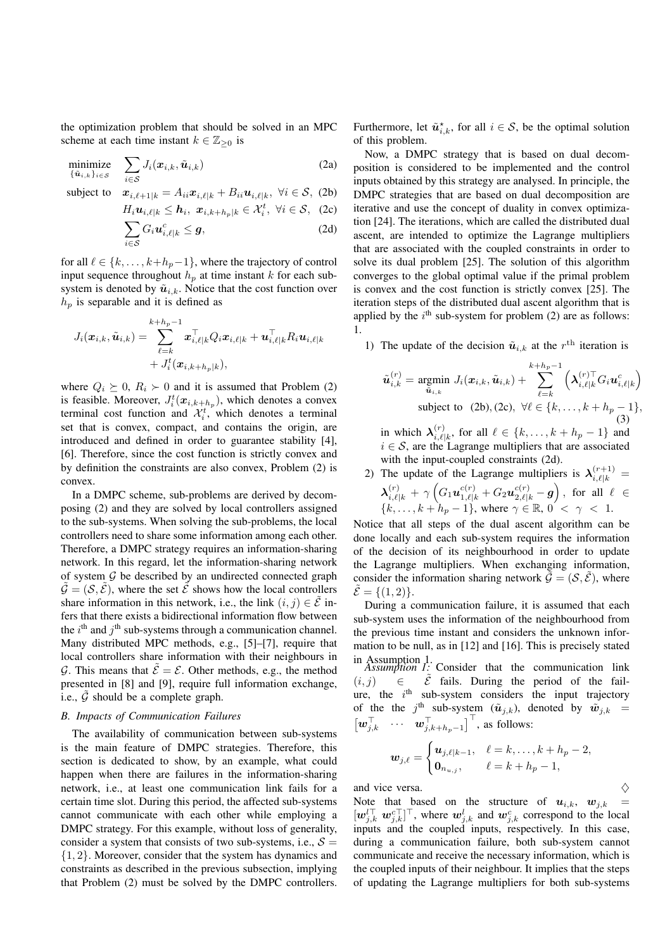the optimization problem that should be solved in an MPC scheme at each time instant  $k \in \mathbb{Z}_{\geq 0}$  is

$$
\underset{\{\tilde{\boldsymbol{u}}_{i,k}\}_{i\in\mathcal{S}}}{\text{minimize}} \quad \sum_{i\in\mathcal{S}} J_i(\boldsymbol{x}_{i,k}, \tilde{\boldsymbol{u}}_{i,k}) \tag{2a}
$$

subject to  $x_{i,\ell+1|k} = A_{ii}x_{i,\ell|k} + B_{ii}u_{i,\ell|k}, \ \forall i \in S,$  (2b)

$$
H_i \mathbf{u}_{i,\ell|k} \leq \mathbf{h}_i, \ \mathbf{x}_{i,k+h_p|k} \in \mathcal{X}_i^t, \ \forall i \in \mathcal{S}, \ \ (2c)
$$

$$
\sum_{i \in \mathcal{S}} G_i \mathbf{u}_{i,\ell|k}^c \leq \mathbf{g}, \tag{2d}
$$

for all  $\ell \in \{k, \ldots, k+h_p-1\}$ , where the trajectory of control input sequence throughout  $h_p$  at time instant k for each subsystem is denoted by  $\tilde{u}_{i,k}$ . Notice that the cost function over  $h_p$  is separable and it is defined as

$$
J_i(\boldsymbol{x}_{i,k},\tilde{\boldsymbol{u}}_{i,k})=\sum_{\ell=k}^{k+h_p-1}\boldsymbol{x}_{i,\ell|k}^\top Q_i\boldsymbol{x}_{i,\ell|k}+\boldsymbol{u}_{i,\ell|k}^\top R_i\boldsymbol{u}_{i,\ell|k}\\+J_i^t(\boldsymbol{x}_{i,k+h_p|k}),
$$

where  $Q_i \succeq 0$ ,  $R_i \succ 0$  and it is assumed that Problem (2) is feasible. Moreover,  $J_i^t(\mathbf{x}_{i,k+h_p})$ , which denotes a convex terminal cost function and  $\mathcal{X}_i^t$ , which denotes a terminal set that is convex, compact, and contains the origin, are introduced and defined in order to guarantee stability [4], [6]. Therefore, since the cost function is strictly convex and by definition the constraints are also convex, Problem (2) is convex.

In a DMPC scheme, sub-problems are derived by decomposing (2) and they are solved by local controllers assigned to the sub-systems. When solving the sub-problems, the local controllers need to share some information among each other. Therefore, a DMPC strategy requires an information-sharing network. In this regard, let the information-sharing network of system  $G$  be described by an undirected connected graph  $\tilde{\mathcal{G}} = (\mathcal{S}, \tilde{\mathcal{E}})$ , where the set  $\tilde{\mathcal{E}}$  shows how the local controllers share information in this network, i.e., the link  $(i, j) \in \tilde{E}$  infers that there exists a bidirectional information flow between the  $i^{\text{th}}$  and  $j^{\text{th}}$  sub-systems through a communication channel. Many distributed MPC methods, e.g., [5]–[7], require that local controllers share information with their neighbours in G. This means that  $\mathcal{E} = \mathcal{E}$ . Other methods, e.g., the method presented in [8] and [9], require full information exchange, i.e.,  $\tilde{G}$  should be a complete graph.

#### *B. Impacts of Communication Failures*

The availability of communication between sub-systems is the main feature of DMPC strategies. Therefore, this section is dedicated to show, by an example, what could happen when there are failures in the information-sharing network, i.e., at least one communication link fails for a certain time slot. During this period, the affected sub-systems cannot communicate with each other while employing a DMPC strategy. For this example, without loss of generality, consider a system that consists of two sub-systems, i.e.,  $S =$ {1, 2}. Moreover, consider that the system has dynamics and constraints as described in the previous subsection, implying that Problem (2) must be solved by the DMPC controllers.

Furthermore, let  $\tilde{u}_{i,k}^*$ , for all  $i \in S$ , be the optimal solution of this problem.

Now, a DMPC strategy that is based on dual decomposition is considered to be implemented and the control inputs obtained by this strategy are analysed. In principle, the DMPC strategies that are based on dual decomposition are iterative and use the concept of duality in convex optimization [24]. The iterations, which are called the distributed dual ascent, are intended to optimize the Lagrange multipliers that are associated with the coupled constraints in order to solve its dual problem [25]. The solution of this algorithm converges to the global optimal value if the primal problem is convex and the cost function is strictly convex [25]. The iteration steps of the distributed dual ascent algorithm that is applied by the  $i<sup>th</sup>$  sub-system for problem (2) are as follows: 1.

1) The update of the decision  $\tilde{u}_{i,k}$  at the  $r<sup>th</sup>$  iteration is

$$
\tilde{\boldsymbol{u}}_{i,k}^{(r)} = \underset{\tilde{\boldsymbol{u}}_{i,k}}{\text{argmin}} \ J_i(\boldsymbol{x}_{i,k}, \tilde{\boldsymbol{u}}_{i,k}) + \sum_{\ell=k}^{k+h_p-1} \left( \boldsymbol{\lambda}_{i,\ell|k}^{(r)\top} G_i \boldsymbol{u}_{i,\ell|k}^c \right)
$$
\nsubject to (2b), (2c),  $\forall \ell \in \{k, \ldots, k+h_p-1\}$ , (3)

in which  $\lambda_{i,\ell}^{(r)}$  $\{S_{i,\ell|k}^{(r)}, \text{ for all } \ell \in \{k, ..., k+h_p-1\} \text{ and }$  $i \in S$ , are the Lagrange multipliers that are associated with the input-coupled constraints (2d).

2) The update of the Lagrange multipliers is  $\lambda_{i,\ell|k}^{(r+1)} =$  $\boldsymbol{\lambda}^{(r)}_{i,\ell|k} + \gamma \left( G_1 \boldsymbol{u}_{1,\ell|k}^{c(r)} + G_2 \boldsymbol{u}_{2,\ell|k}^{c(r)} - \boldsymbol{g} \right), \,\, \text{for all} \,\, \, \ell \,\, \in$  ${k, \ldots, k+h_p-1}$ , where  $\gamma \in \mathbb{R}$ ,  $0' < \gamma < 1$ .

Notice that all steps of the dual ascent algorithm can be done locally and each sub-system requires the information of the decision of its neighbourhood in order to update the Lagrange multipliers. When exchanging information, consider the information sharing network  $\tilde{\mathcal{G}} = (\mathcal{S}, \tilde{\mathcal{E}})$ , where  $\mathcal{E} = \{(1, 2)\}.$ 

During a communication failure, it is assumed that each sub-system uses the information of the neighbourhood from the previous time instant and considers the unknown information to be null, as in [12] and [16]. This is precisely stated

in Assumption 1. *Assumption 1:* Consider that the communication link  $(i, j)$   $\in$   $\tilde{\mathcal{E}}$  fails. During the period of the failure, the  $i<sup>th</sup>$  sub-system considers the input trajectory of the the j<sup>th</sup> sub-system  $(\tilde{u}_{j,k})$ , denoted by  $\tilde{w}_{j,k}$  =  $\begin{bmatrix} \mathbf{w}_{j,k}^{\top} & \cdots & \mathbf{w}_{j,k+h_p-1}^{\top} \end{bmatrix}^{\top}$ , as follows:

$$
\boldsymbol{w}_{j,\ell} = \begin{cases} \boldsymbol{u}_{j,\ell|k-1}, & \ell = k,\ldots,k+h_p-2, \\ \boldsymbol{0}_{n_{u,j}}, & \ell = k+h_p-1, \end{cases}
$$

and vice versa.<br>Note that based on the structure of  $u_{i,k}$ ,  $w_{j,k}$  = Note that based on the structure of  $u_{i,k}$ ,  $w_{j,k}$  $[w_{j,k}^{l\top} w_{j,k}^{c\top}]^{\top}$ , where  $w_{j,k}^{l}$  and  $w_{j,k}^{c}$  correspond to the local inputs and the coupled inputs, respectively. In this case, during a communication failure, both sub-system cannot communicate and receive the necessary information, which is the coupled inputs of their neighbour. It implies that the steps of updating the Lagrange multipliers for both sub-systems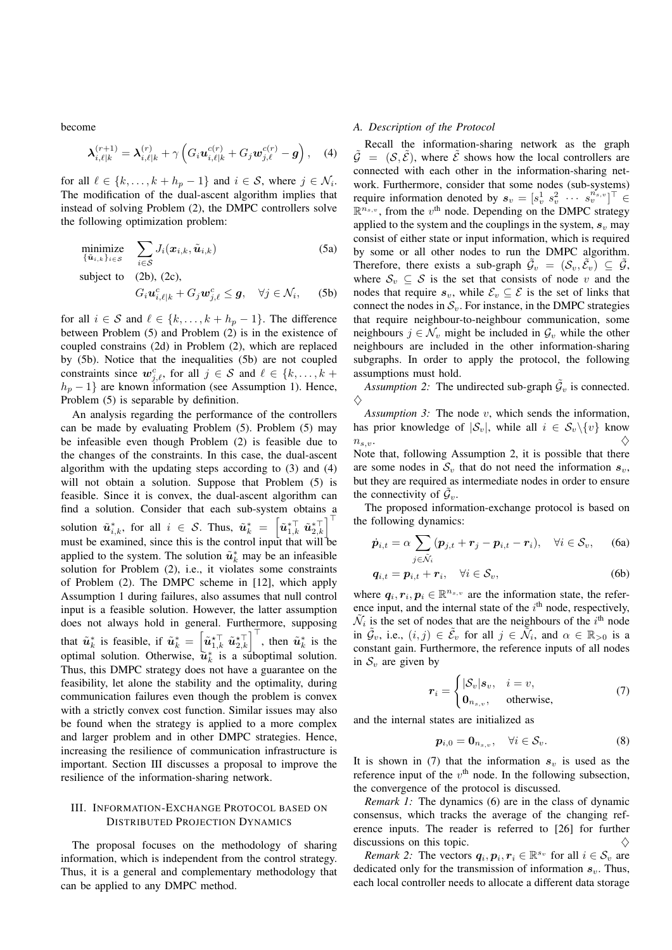become

$$
\boldsymbol{\lambda}_{i,\ell|k}^{(r+1)} = \boldsymbol{\lambda}_{i,\ell|k}^{(r)} + \gamma \left( G_i \boldsymbol{u}_{i,\ell|k}^{c(r)} + G_j \boldsymbol{w}_{j,\ell}^{c(r)} - \boldsymbol{g} \right), \quad (4)
$$

for all  $\ell \in \{k, \ldots, k + h_p - 1\}$  and  $i \in S$ , where  $j \in \mathcal{N}_i$ . The modification of the dual-ascent algorithm implies that instead of solving Problem (2), the DMPC controllers solve the following optimization problem:

minimize  
\n
$$
\sum_{\{\tilde{\mathbf{u}}_{i,k}\}_{i \in S}} J_i(\mathbf{x}_{i,k}, \tilde{\mathbf{u}}_{i,k})
$$
\n(5a)  
\nsubject to (2b), (2c),  
\n
$$
G_i \mathbf{u}_{i,\ell|k}^c + G_j \mathbf{w}_{j,\ell}^c \leq \mathbf{g}, \quad \forall j \in \mathcal{N}_i,
$$
\n(5b)

for all  $i \in S$  and  $\ell \in \{k, \ldots, k + h_p - 1\}$ . The difference between Problem (5) and Problem (2) is in the existence of coupled constrains (2d) in Problem (2), which are replaced by (5b). Notice that the inequalities (5b) are not coupled constraints since  $w_{j,\ell}^c$ , for all  $j \in S$  and  $\ell \in \{k, ..., k + \}$  $h_p - 1$ } are known information (see Assumption 1). Hence, Problem (5) is separable by definition.

An analysis regarding the performance of the controllers can be made by evaluating Problem (5). Problem (5) may be infeasible even though Problem (2) is feasible due to the changes of the constraints. In this case, the dual-ascent algorithm with the updating steps according to (3) and (4) will not obtain a solution. Suppose that Problem (5) is feasible. Since it is convex, the dual-ascent algorithm can find a solution. Consider that each sub-system obtains a solution  $\tilde{\boldsymbol{u}}^{*}_{i,k}$ , for all  $i \in \mathcal{S}$ . Thus,  $\tilde{\boldsymbol{u}}^{*}_{k} = \left[\tilde{\boldsymbol{u}}^{*\top}_{1,k} \ \tilde{\boldsymbol{u}}^{*\top}_{2,k}\right]^\top$ must be examined, since this is the control input that will be applied to the system. The solution  $\tilde{u}_k^*$  may be an infeasible solution for Problem (2), i.e., it violates some constraints of Problem (2). The DMPC scheme in [12], which apply Assumption 1 during failures, also assumes that null control input is a feasible solution. However, the latter assumption does not always hold in general. Furthermore, supposing that  $\tilde{u}_k^*$  is feasible, if  $\tilde{u}_k^* = \left[\tilde{u}_{1,k}^{\star \top} \tilde{u}_{2,k}^{\star \top}\right]^\top$ , then  $\tilde{u}_k^*$  is the optimal solution. Otherwise,  $\tilde{u}_k^*$  is a suboptimal solution. Thus, this DMPC strategy does not have a guarantee on the feasibility, let alone the stability and the optimality, during communication failures even though the problem is convex with a strictly convex cost function. Similar issues may also be found when the strategy is applied to a more complex and larger problem and in other DMPC strategies. Hence, increasing the resilience of communication infrastructure is important. Section III discusses a proposal to improve the resilience of the information-sharing network.

## III. INFORMATION-EXCHANGE PROTOCOL BASED ON DISTRIBUTED PROJECTION DYNAMICS

The proposal focuses on the methodology of sharing information, which is independent from the control strategy. Thus, it is a general and complementary methodology that can be applied to any DMPC method.

## *A. Description of the Protocol*

Recall the information-sharing network as the graph  $\tilde{G} = (S, \tilde{\mathcal{E}})$ , where  $\tilde{\mathcal{E}}$  shows how the local controllers are connected with each other in the information-sharing network. Furthermore, consider that some nodes (sub-systems) require information denoted by  $s_v = [s_v^1 \ s_v^2 \ \cdots \ s_v^{n_{s,v}}]^\top \in$  $\mathbb{R}^{n_{s,v}}$ , from the  $v^{\text{th}}$  node. Depending on the DMPC strategy applied to the system and the couplings in the system,  $s<sub>v</sub>$  may consist of either state or input information, which is required by some or all other nodes to run the DMPC algorithm. Therefore, there exists a sub-graph  $\tilde{\mathcal{G}}_v = (\mathcal{S}_v, \tilde{\mathcal{E}}_v) \subseteq \tilde{\mathcal{G}}$ , where  $S_v \subseteq S$  is the set that consists of node v and the nodes that require  $s_v$ , while  $\mathcal{E}_v \subseteq \mathcal{E}$  is the set of links that connect the nodes in  $S_v$ . For instance, in the DMPC strategies that require neighbour-to-neighbour communication, some neighbours  $j \in \mathcal{N}_v$  might be included in  $\mathcal{G}_v$  while the other neighbours are included in the other information-sharing subgraphs. In order to apply the protocol, the following assumptions must hold.

Assumption 2: The undirected sub-graph  $\tilde{\mathcal{G}}_v$  is connected.  $\Diamond$ 

*Assumption 3:* The node v, which sends the information, has prior knowledge of  $|\mathcal{S}_v|$ , while all  $i \in \mathcal{S}_v \setminus \{v\}$  know  $n_{s,v}$ .  $n_{s,v}.$ Note that, following Assumption 2, it is possible that there are some nodes in  $S_v$  that do not need the information  $s_v$ , but they are required as intermediate nodes in order to ensure the connectivity of  $\tilde{\mathcal{G}}_v$ .

The proposed information-exchange protocol is based on the following dynamics:

$$
\dot{\boldsymbol{p}}_{i,t} = \alpha \sum_{j \in \tilde{\mathcal{N}}_i} (\boldsymbol{p}_{j,t} + \boldsymbol{r}_j - \boldsymbol{p}_{i,t} - \boldsymbol{r}_i), \quad \forall i \in \mathcal{S}_v, \qquad \text{(6a)}
$$

$$
\boldsymbol{q}_{i,t} = \boldsymbol{p}_{i,t} + \boldsymbol{r}_i, \quad \forall i \in \mathcal{S}_v,
$$
\n(6b)

where  $q_i, r_i, p_i \in \mathbb{R}^{n_{s,v}}$  are the information state, the reference input, and the internal state of the  $i<sup>th</sup>$  node, respectively,  $\tilde{\mathcal{N}}_i$  is the set of nodes that are the neighbours of the  $i^{\text{th}}$  node in  $\tilde{\mathcal{G}}_v$ , i.e.,  $(i, j) \in \tilde{\mathcal{E}}_v$  for all  $j \in \tilde{\mathcal{N}}_i$ , and  $\alpha \in \mathbb{R}_{>0}$  is a constant gain. Furthermore, the reference inputs of all nodes in  $S_v$  are given by

$$
\boldsymbol{r}_{i} = \begin{cases} |\mathcal{S}_{v}| \boldsymbol{s}_{v}, & i = v, \\ \boldsymbol{0}_{n_{s,v}}, & \text{otherwise,} \end{cases} \tag{7}
$$

and the internal states are initialized as

$$
\boldsymbol{p}_{i,0} = \boldsymbol{0}_{n_{s,v}}, \quad \forall i \in \mathcal{S}_v. \tag{8}
$$

It is shown in (7) that the information  $s<sub>v</sub>$  is used as the reference input of the  $v<sup>th</sup>$  node. In the following subsection, the convergence of the protocol is discussed.

*Remark 1:* The dynamics (6) are in the class of dynamic consensus, which tracks the average of the changing reference inputs. The reader is referred to [26] for further discussions on this topic.  $\Diamond$ 

*Remark 2:* The vectors  $q_i, p_i, r_i \in \mathbb{R}^{s_v}$  for all  $i \in S_v$  are dedicated only for the transmission of information  $s_v$ . Thus, each local controller needs to allocate a different data storage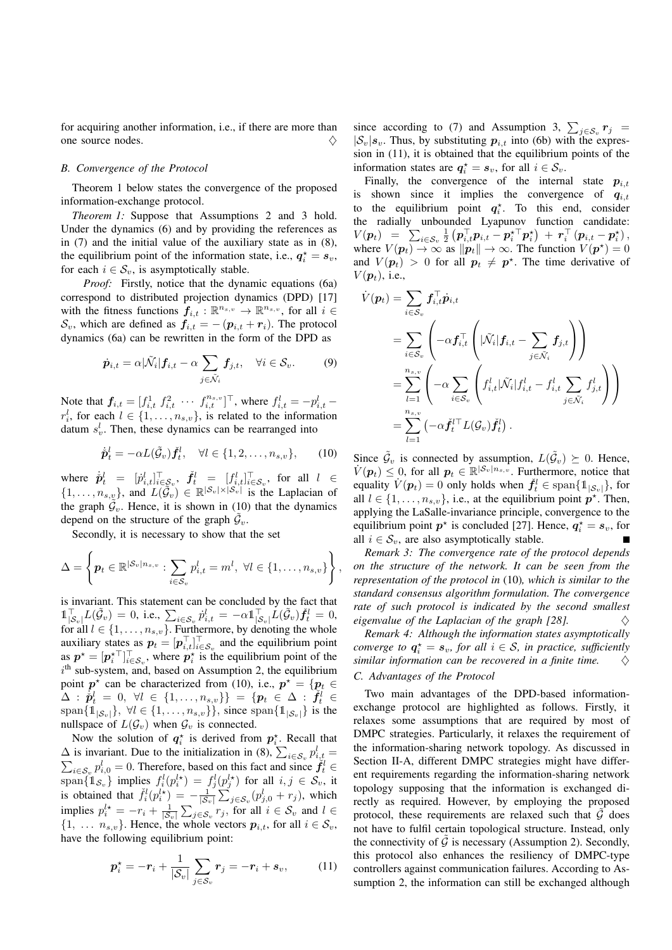for acquiring another information, i.e., if there are more than one source nodes.  $\Diamond$ 

## *B. Convergence of the Protocol*

Theorem 1 below states the convergence of the proposed information-exchange protocol.

*Theorem 1:* Suppose that Assumptions 2 and 3 hold. Under the dynamics (6) and by providing the references as in (7) and the initial value of the auxiliary state as in (8), the equilibrium point of the information state, i.e.,  $q_i^* = s_v$ , for each  $i \in S_v$ , is asymptotically stable.

*Proof:* Firstly, notice that the dynamic equations (6a) correspond to distributed projection dynamics (DPD) [17] with the fitness functions  $f_{i,t} : \mathbb{R}^{n_{s,v}} \to \mathbb{R}^{n_{s,v}}$ , for all  $i \in$  $S_v$ , which are defined as  $f_{i,t} = -(p_{i,t} + r_i)$ . The protocol dynamics (6a) can be rewritten in the form of the DPD as

$$
\dot{\boldsymbol{p}}_{i,t} = \alpha | \tilde{\mathcal{N}}_i | \boldsymbol{f}_{i,t} - \alpha \sum_{j \in \tilde{\mathcal{N}}_i} \boldsymbol{f}_{j,t}, \quad \forall i \in \mathcal{S}_v. \tag{9}
$$

Note that  $f_{i,t} = [f_{i,t}^1 \ f_{i,t}^2 \ \cdots \ f_{i,t}^{n_s} \ ]^\top$ , where  $f_{i,t}^l = -p_{i,t}^l$  $r_i^l$ , for each  $l \in \{1, \ldots, n_{s,v}\}\$ , is related to the information datum  $s_v^l$ . Then, these dynamics can be rearranged into

$$
\dot{\tilde{\boldsymbol{p}}}_t^l = -\alpha L(\tilde{\mathcal{G}}_v) \tilde{\boldsymbol{f}}_t^l, \quad \forall l \in \{1, 2, \dots, n_{s,v}\},\qquad(10)
$$

where  $\dot{p}_t^l = [p_{i,t}^l]_{i \in \mathcal{S}_v}^\top, \ \dot{f}_t^l = [f_{i,t}^l]_{i \in \mathcal{S}_v}^\top, \text{ for all } l \in$  $\{1,\ldots,n_{s,\underline{v}}\}\$ , and  $L(\tilde{G}_v) \in \mathbb{R}^{|S_v| \times |S_v|}$  is the Laplacian of the graph  $\widetilde{\mathcal{G}}_v$ . Hence, it is shown in (10) that the dynamics depend on the structure of the graph  $\tilde{G}_v$ .

Secondly, it is necessary to show that the set

$$
\Delta = \left\{ \boldsymbol{p}_t \in \mathbb{R}^{|\mathcal{S}_v|n_{s,v}} : \sum_{i \in \mathcal{S}_v} p_{i,t}^l = m^l, \ \forall l \in \{1,\ldots,n_{s,v}\} \right\},\
$$

is invariant. This statement can be concluded by the fact that  $\mathbb{1}_{\left\vert \mathcal{S}_{v}\right\vert }^{\top}L(\tilde{\mathcal{G}}_{v})\,=\,0,\;\text{i.e.,}\;\sum_{i\in\mathcal{S}_{v}}\dot{p}_{i,t}^{l}\,=\,-\alpha\mathbb{1}_{\left\vert \mathcal{S}_{v}\right\vert }^{\top}L(\tilde{\mathcal{G}}_{v})\check{\boldsymbol{f}}_{t}^{l}\,=\,0,$ for all  $l \in \{1, \ldots, n_{s,v}\}$ . Furthermore, by denoting the whole auxiliary states as  $p_t = [p_{i,t}^\top]_{i \in S_v}^\top$  and the equilibrium point as  $p^* = [p_i^*]_{i \in S_v}^{\top}$ , where  $p_i^*$  is the equilibrium point of the  $i<sup>th</sup>$  sub-system, and, based on Assumption 2, the equilibrium point  $p^*$  can be characterized from (10), i.e.,  $p^* = \{p_t \in$  $\begin{array}{l} \Delta:\,\dot{\bar{p}}_t^l\,=\,0,\,\,\forall l\,\in\,\{1,\ldots,n_{s,v}\}\} \,=\, \{\boldsymbol{p}_t\,\in\,\Delta\,:\,\dot{\bar{f}}_t^l\,\in\,\,\{\text{span}\{\mathbb{1}_{|\mathcal{S}_v|}\},\,\,\forall l\in\{1,\ldots,n_{s,v}\}\},\,\,\text{since}\,\,\text{span}\{\mathbb{1}_{|\mathcal{S}_v|}\}\,\,\text{is the}\,\,\,\,\end{array}$ nullspace of  $L(\mathcal{G}_v)$  when  $\mathcal{G}_v$  is connected.

Now the solution of  $q_i^*$  is derived from  $p_i^*$ . Recall that  $\Delta$  is invariant. Due to the initialization in (8),  $\sum_{i \in S_v} p_{i,t}^l =$  $\sum_{i \in S_v} p_{i,0}^l = 0$ . Therefore, based on this fact and since  $\ddot{f}_t^l$ span $\{1_{\mathcal{S}_v}\}\$  implies  $f_i^l(p_i^{l*}) = f_j^l(p_j^{l*})$  for all  $i, j \in \mathcal{S}_v$ , it is obtained that  $\tilde{f}_i^l(p_i^{l*}) = -\frac{1}{|S_v|} \sum_{j \in S_v}^{\infty} (p_{j,0}^l + r_j)$ , which implies  $p_i^{l*} = -r_i + \frac{1}{|\mathcal{S}_v|} \sum_{j \in \mathcal{S}_v} r_j$ , for all  $i \in \mathcal{S}_v$  and  $l \in$  $\{1, \ldots, n_{s,v}\}.$  Hence, the whole vectors  $p_{i,t}$ , for all  $i \in S_v$ , have the following equilibrium point:

$$
\boldsymbol{p}_i^* = -\boldsymbol{r}_i + \frac{1}{|\mathcal{S}_v|} \sum_{j \in \mathcal{S}_v} \boldsymbol{r}_j = -\boldsymbol{r}_i + \boldsymbol{s}_v,\tag{11}
$$

since according to (7) and Assumption 3,  $\sum_{j \in S_v} r_j$  =  $|S_v|s_v$ . Thus, by substituting  $p_{i,t}$  into (6b) with the expression in (11), it is obtained that the equilibrium points of the information states are  $q_i^* = s_v$ , for all  $i \in S_v$ .

Finally, the convergence of the internal state  $p_{i,t}$ is shown since it implies the convergence of  $q_{i,t}$ to the equilibrium point  $q_i^*$ . To this end, consider the radially unbounded Lyapunov function candidate:  $V(\boldsymbol{p}_t) \;\;=\;\; \sum_{i\in {\cal S}_v} \frac{1}{2}\left(\boldsymbol{p}_{i,t}^\top \boldsymbol{p}_{i,t} - \boldsymbol{p}_i^{\star\top} \boldsymbol{p}_i^{\star}\right) \,+\; \boldsymbol{r}_i^\top\left(\boldsymbol{p}_{i,t} - \boldsymbol{p}_i^{\star}\right),$ where  $V(\mathbf{p}_t) \to \infty$  as  $\|\mathbf{p}_t\| \to \infty$ . The function  $V(\mathbf{p}^*) = 0$ and  $V(\mathbf{p}_t) > 0$  for all  $\mathbf{p}_t \neq \mathbf{p}^*$ . The time derivative of  $V(\boldsymbol{p}_t)$ , i.e.,

$$
\dot{V}(\mathbf{p}_t) = \sum_{i \in S_v} \mathbf{f}_{i,t}^\top \dot{\mathbf{p}}_{i,t} \n= \sum_{i \in S_v} \left( -\alpha \mathbf{f}_{i,t}^\top \left( |\tilde{\mathcal{N}}_i| \mathbf{f}_{i,t} - \sum_{j \in \tilde{\mathcal{N}}_i} \mathbf{f}_{j,t} \right) \right) \n= \sum_{l=1}^{n_{s,v}} \left( -\alpha \sum_{i \in S_v} \left( f_{i,t}^l |\tilde{\mathcal{N}}_i| f_{i,t}^l - f_{i,t}^l \sum_{j \in \tilde{\mathcal{N}}_i} f_{j,t}^l \right) \right) \n= \sum_{l=1}^{n_{s,v}} \left( -\alpha \tilde{\mathbf{f}}_t^{l\top} L(\mathcal{G}_v) \tilde{\mathbf{f}}_t^l \right).
$$

Since  $\tilde{\mathcal{G}}_v$  is connected by assumption,  $L(\tilde{\mathcal{G}}_v) \succeq 0$ . Hence,  $V(\boldsymbol{p}_t) \leq 0$ , for all  $\boldsymbol{p}_t \in \mathbb{R}^{|\mathcal{S}_v| n_{s,v}}$ . Furthermore, notice that equality  $V(\boldsymbol{p}_t) = 0$  only holds when  $\check{f}_t^l \in \text{span}\{\mathbb{1}_{|\mathcal{S}_v|}\}\text{, for}$ all  $l \in \{1, \ldots, n_{s,v}\}\$ , i.e., at the equilibrium point  $p^{\star}$ . Then, applying the LaSalle-invariance principle, convergence to the equilibrium point  $p^*$  is concluded [27]. Hence,  $q_i^* = s_v$ , for all  $i \in S_v$ , are also asymptotically stable.

*Remark 3: The convergence rate of the protocol depends on the structure of the network. It can be seen from the representation of the protocol in* (10)*, which is similar to the standard consensus algorithm formulation. The convergence rate of such protocol is indicated by the second smallest eigenvalue of the Laplacian of the graph [28].*  $\diamondsuit$ 

*Remark 4: Although the information states asymptotically converge to*  $q_i^* = s_v$ , *for all*  $i \in S$ , *in practice, sufficiently similar information can be recovered in a finite time.*  $\Diamond$ 

## *C. Advantages of the Protocol*

Two main advantages of the DPD-based informationexchange protocol are highlighted as follows. Firstly, it relaxes some assumptions that are required by most of DMPC strategies. Particularly, it relaxes the requirement of the information-sharing network topology. As discussed in Section II-A, different DMPC strategies might have different requirements regarding the information-sharing network topology supposing that the information is exchanged directly as required. However, by employing the proposed protocol, these requirements are relaxed such that  $\hat{G}$  does not have to fulfil certain topological structure. Instead, only the connectivity of  $\hat{G}$  is necessary (Assumption 2). Secondly, this protocol also enhances the resiliency of DMPC-type controllers against communication failures. According to Assumption 2, the information can still be exchanged although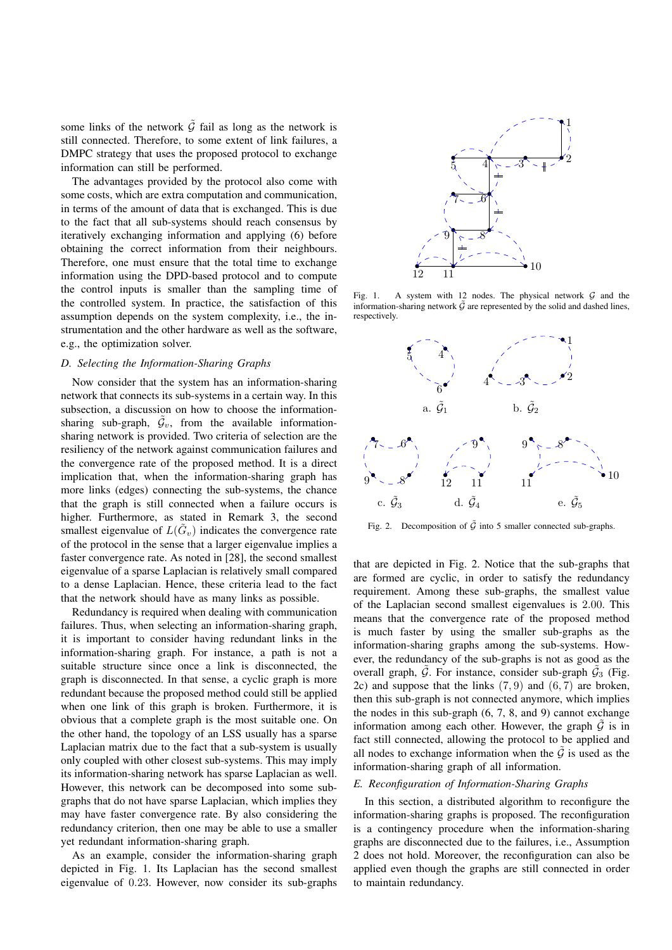some links of the network  $\tilde{G}$  fail as long as the network is still connected. Therefore, to some extent of link failures, a DMPC strategy that uses the proposed protocol to exchange information can still be performed.

The advantages provided by the protocol also come with some costs, which are extra computation and communication, in terms of the amount of data that is exchanged. This is due to the fact that all sub-systems should reach consensus by iteratively exchanging information and applying (6) before obtaining the correct information from their neighbours. Therefore, one must ensure that the total time to exchange information using the DPD-based protocol and to compute the control inputs is smaller than the sampling time of the controlled system. In practice, the satisfaction of this assumption depends on the system complexity, i.e., the instrumentation and the other hardware as well as the software, e.g., the optimization solver.

#### *D. Selecting the Information-Sharing Graphs*

Now consider that the system has an information-sharing network that connects its sub-systems in a certain way. In this subsection, a discussion on how to choose the informationsharing sub-graph,  $\tilde{\mathcal{G}}_v$ , from the available informationsharing network is provided. Two criteria of selection are the resiliency of the network against communication failures and the convergence rate of the proposed method. It is a direct implication that, when the information-sharing graph has more links (edges) connecting the sub-systems, the chance that the graph is still connected when a failure occurs is higher. Furthermore, as stated in Remark 3, the second smallest eigenvalue of  $L(\tilde{G}_v)$  indicates the convergence rate of the protocol in the sense that a larger eigenvalue implies a faster convergence rate. As noted in [28], the second smallest eigenvalue of a sparse Laplacian is relatively small compared to a dense Laplacian. Hence, these criteria lead to the fact that the network should have as many links as possible.

Redundancy is required when dealing with communication failures. Thus, when selecting an information-sharing graph, it is important to consider having redundant links in the information-sharing graph. For instance, a path is not a suitable structure since once a link is disconnected, the graph is disconnected. In that sense, a cyclic graph is more redundant because the proposed method could still be applied when one link of this graph is broken. Furthermore, it is obvious that a complete graph is the most suitable one. On the other hand, the topology of an LSS usually has a sparse Laplacian matrix due to the fact that a sub-system is usually only coupled with other closest sub-systems. This may imply its information-sharing network has sparse Laplacian as well. However, this network can be decomposed into some subgraphs that do not have sparse Laplacian, which implies they may have faster convergence rate. By also considering the redundancy criterion, then one may be able to use a smaller yet redundant information-sharing graph.

As an example, consider the information-sharing graph depicted in Fig. 1. Its Laplacian has the second smallest eigenvalue of 0.23. However, now consider its sub-graphs



Fig. 1. A system with 12 nodes. The physical network  $G$  and the information-sharing network  $\tilde{G}$  are represented by the solid and dashed lines, respectively.



Fig. 2. Decomposition of  $\tilde{G}$  into 5 smaller connected sub-graphs.

that are depicted in Fig. 2. Notice that the sub-graphs that are formed are cyclic, in order to satisfy the redundancy requirement. Among these sub-graphs, the smallest value of the Laplacian second smallest eigenvalues is 2.00. This means that the convergence rate of the proposed method is much faster by using the smaller sub-graphs as the information-sharing graphs among the sub-systems. However, the redundancy of the sub-graphs is not as good as the overall graph,  $\tilde{G}$ . For instance, consider sub-graph  $\tilde{G}_3$  (Fig. 2c) and suppose that the links  $(7, 9)$  and  $(6, 7)$  are broken, then this sub-graph is not connected anymore, which implies the nodes in this sub-graph (6, 7, 8, and 9) cannot exchange information among each other. However, the graph  $\hat{G}$  is in fact still connected, allowing the protocol to be applied and all nodes to exchange information when the  $\mathcal G$  is used as the information-sharing graph of all information.

## *E. Reconfiguration of Information-Sharing Graphs*

In this section, a distributed algorithm to reconfigure the information-sharing graphs is proposed. The reconfiguration is a contingency procedure when the information-sharing graphs are disconnected due to the failures, i.e., Assumption 2 does not hold. Moreover, the reconfiguration can also be applied even though the graphs are still connected in order to maintain redundancy.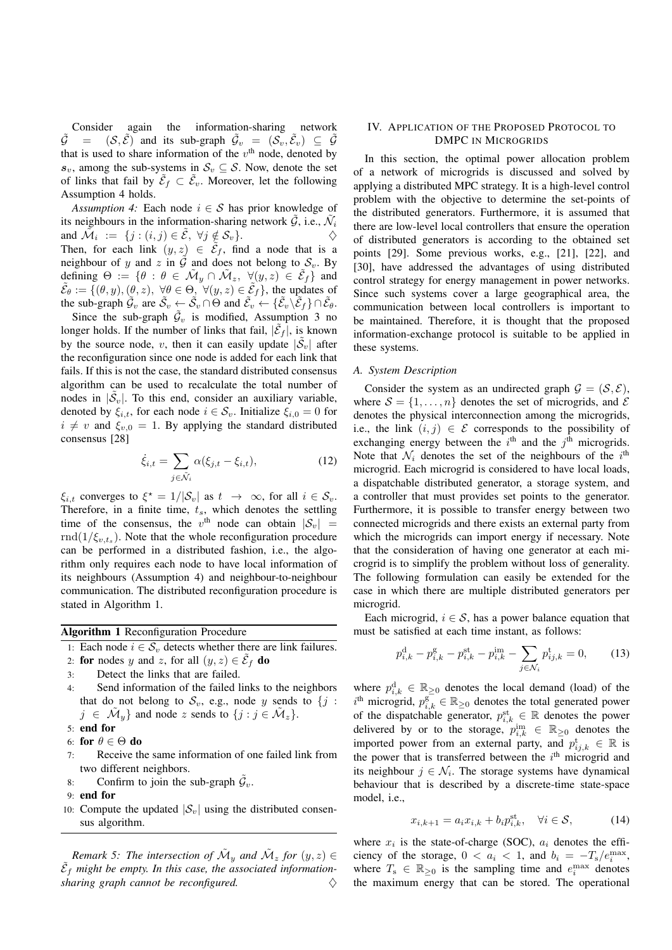Consider again the information-sharing network  $\tilde{\mathcal{G}} = (\mathcal{S}, \tilde{\mathcal{E}})$  and its sub-graph  $\tilde{\mathcal{G}}_v = (\mathcal{S}_v, \tilde{\mathcal{E}}_v) \subseteq \tilde{\mathcal{G}}$ that is used to share information of the  $v<sup>th</sup>$  node, denoted by  $s_v$ , among the sub-systems in  $S_v \subseteq S$ . Now, denote the set of links that fail by  $\tilde{\mathcal{E}}_f \subset \tilde{\mathcal{E}}_v$ . Moreover, let the following Assumption 4 holds.

*Assumption 4:* Each node  $i \in S$  has prior knowledge of its neighbours in the information-sharing network  $\tilde{G}$ , i.e.,  $\tilde{\mathcal{N}}_i$ and  $\tilde{\mathcal{M}}_i := \{j : (i, j) \in \tilde{\mathcal{E}}, \ \forall j \notin \mathcal{S}_v\}.$ Then, for each link  $(y, z) \in \tilde{\mathcal{E}}_f$ , find a node that is a neighbour of y and z in  $\tilde{G}$  and does not belong to  $S_v$ . By defining  $\Theta := \{ \theta : \theta \in \tilde{\mathcal{M}}_y \cap \tilde{\mathcal{M}}_z, \ \forall (y, z) \in \tilde{\mathcal{E}}_f \}$  and  $\tilde{\mathcal{E}}_{\theta} := \{(\theta, y), (\theta, z), \ \forall \theta \in \Theta, \ \forall (y, z) \in \tilde{\mathcal{E}}_f\},\$ the updates of the sub-graph  $\tilde{\mathcal{G}}_v$  are  $\tilde{\mathcal{S}}_v \leftarrow \tilde{\mathcal{S}}_v \cap \Theta$  and  $\tilde{\mathcal{E}}_v \leftarrow {\{\tilde{\mathcal{E}}_v \backslash \tilde{\mathcal{E}}_f\}} \cap \tilde{\mathcal{E}}_\theta$ .

Since the sub-graph  $\tilde{\mathcal{G}}_v$  is modified, Assumption 3 no longer holds. If the number of links that fail,  $|\tilde{\mathcal{E}}_f|$ , is known by the source node, v, then it can easily update  $|\tilde{\mathcal{S}}_v|$  after the reconfiguration since one node is added for each link that fails. If this is not the case, the standard distributed consensus algorithm can be used to recalculate the total number of nodes in  $|\tilde{\mathcal{S}}_v|$ . To this end, consider an auxiliary variable, denoted by  $\xi_{i,t}$ , for each node  $i \in S_v$ . Initialize  $\xi_{i,0} = 0$  for  $i \neq v$  and  $\xi_{v,0} = 1$ . By applying the standard distributed consensus [28]

$$
\dot{\xi}_{i,t} = \sum_{j \in \tilde{\mathcal{N}}_i} \alpha(\xi_{j,t} - \xi_{i,t}), \tag{12}
$$

 $\xi_{i,t}$  converges to  $\xi^* = 1/|\mathcal{S}_v|$  as  $t \to \infty$ , for all  $i \in \mathcal{S}_v$ . Therefore, in a finite time,  $t_s$ , which denotes the settling time of the consensus, the  $v^{\text{th}}$  node can obtain  $|S_v|$  =  $\text{rnd}(1/\xi_{v,t_s})$ . Note that the whole reconfiguration procedure can be performed in a distributed fashion, i.e., the algorithm only requires each node to have local information of its neighbours (Assumption 4) and neighbour-to-neighbour communication. The distributed reconfiguration procedure is stated in Algorithm 1.

Algorithm 1 Reconfiguration Procedure

1: Each node  $i \in S_v$  detects whether there are link failures.

- 2: for nodes y and z, for all  $(y, z) \in \tilde{E}_f$  do
- 3: Detect the links that are failed.
- 4: Send information of the failed links to the neighbors that do not belong to  $S_v$ , e.g., node y sends to  $\{j :$  $j \in \tilde{\mathcal{M}}_y$  and node z sends to  $\{j : j \in \tilde{\mathcal{M}}_z\}.$
- 5: end for
- 6: for  $\theta \in \Theta$  do 7: Receive the
- Receive the same information of one failed link from two different neighbors.
- 8: Confirm to join the sub-graph  $\tilde{G}_v$ .
- 9: end for
- 10: Compute the updated  $|S_v|$  using the distributed consensus algorithm.

*Remark 5: The intersection of*  $\tilde{M}_y$  *and*  $\tilde{M}_z$  *for*  $(y, z) \in$  $\tilde{\mathcal{E}}_f$  might be empty. In this case, the associated information $sharing$  graph cannot be reconfigured.

## IV. APPLICATION OF THE PROPOSED PROTOCOL TO DMPC IN MICROGRIDS

In this section, the optimal power allocation problem of a network of microgrids is discussed and solved by applying a distributed MPC strategy. It is a high-level control problem with the objective to determine the set-points of the distributed generators. Furthermore, it is assumed that there are low-level local controllers that ensure the operation of distributed generators is according to the obtained set points [29]. Some previous works, e.g., [21], [22], and [30], have addressed the advantages of using distributed control strategy for energy management in power networks. Since such systems cover a large geographical area, the communication between local controllers is important to be maintained. Therefore, it is thought that the proposed information-exchange protocol is suitable to be applied in these systems.

## *A. System Description*

Consider the system as an undirected graph  $\mathcal{G} = (\mathcal{S}, \mathcal{E})$ , where  $S = \{1, \ldots, n\}$  denotes the set of microgrids, and  $\mathcal E$ denotes the physical interconnection among the microgrids, i.e., the link  $(i, j) \in \mathcal{E}$  corresponds to the possibility of exchanging energy between the  $i<sup>th</sup>$  and the  $j<sup>th</sup>$  microgrids. Note that  $\mathcal{N}_i$  denotes the set of the neighbours of the  $i^{\text{th}}$ microgrid. Each microgrid is considered to have local loads, a dispatchable distributed generator, a storage system, and a controller that must provides set points to the generator. Furthermore, it is possible to transfer energy between two connected microgrids and there exists an external party from which the microgrids can import energy if necessary. Note that the consideration of having one generator at each microgrid is to simplify the problem without loss of generality. The following formulation can easily be extended for the case in which there are multiple distributed generators per microgrid.

Each microgrid,  $i \in S$ , has a power balance equation that must be satisfied at each time instant, as follows:

$$
p_{i,k}^{\rm d} - p_{i,k}^{\rm g} - p_{i,k}^{\rm st} - p_{i,k}^{\rm im} - \sum_{j \in \mathcal{N}_i} p_{ij,k}^{\rm t} = 0, \qquad (13)
$$

where  $p_{i,k}^d \in \mathbb{R}_{\geq 0}$  denotes the local demand (load) of the  $i^{\text{th}}$  microgrid,  $p_{i,k}^{\text{g}} \in \mathbb{R}_{\geq 0}$  denotes the total generated power of the dispatchable generator,  $p_{i,k}^{\text{st}} \in \mathbb{R}$  denotes the power delivered by or to the storage,  $p_{i,k}^{\text{im}} \in \mathbb{R}_{\geq 0}$  denotes the imported power from an external party, and  $p_{ij,k}^{\text{t}} \in \mathbb{R}$  is the power that is transferred between the  $i<sup>th</sup>$  microgrid and its neighbour  $j \in \mathcal{N}_i$ . The storage systems have dynamical behaviour that is described by a discrete-time state-space model, i.e.,

$$
x_{i,k+1} = a_i x_{i,k} + b_i p_{i,k}^{\text{st}}, \quad \forall i \in \mathcal{S}, \tag{14}
$$

where  $x_i$  is the state-of-charge (SOC),  $a_i$  denotes the efficiency of the storage,  $0 < a_i < 1$ , and  $b_i = -T_s/e_i^{\text{max}}$ , where  $T_s \in \mathbb{R}_{\geq 0}$  is the sampling time and  $e_i^{\max}$  denotes the maximum energy that can be stored. The operational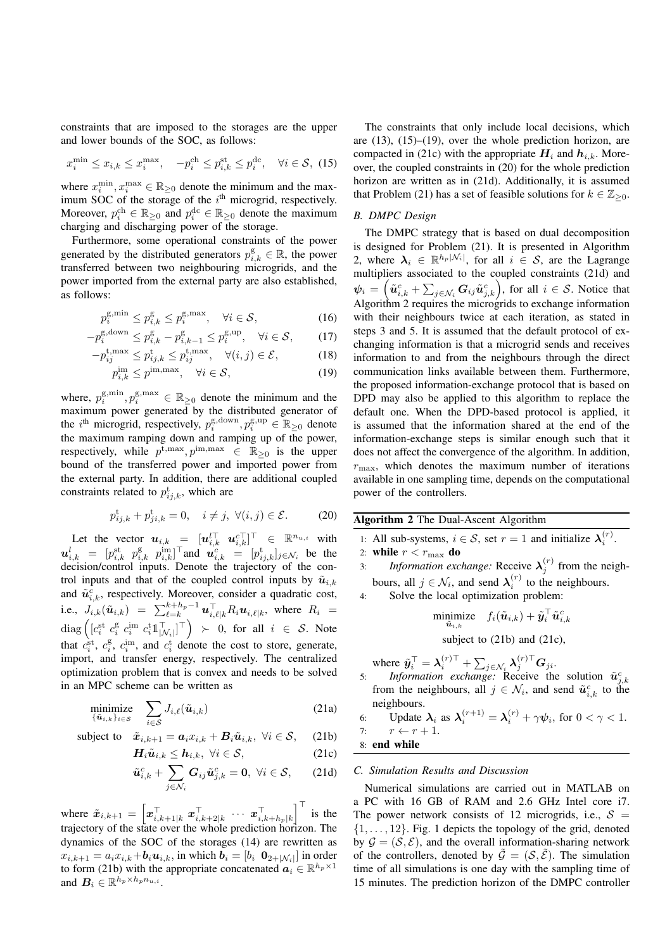constraints that are imposed to the storages are the upper and lower bounds of the SOC, as follows:

$$
x_i^{\min} \le x_{i,k} \le x_i^{\max}, \quad -p_i^{\text{ch}} \le p_{i,k}^{\text{st}} \le p_i^{\text{dc}}, \quad \forall i \in \mathcal{S}, \tag{15}
$$

where  $x_i^{\min}, x_i^{\max} \in \mathbb{R}_{\geq 0}$  denote the minimum and the maximum SOC of the storage of the  $i<sup>th</sup>$  microgrid, respectively. Moreover,  $p_i^{\text{ch}} \in \mathbb{R}_{\geq 0}$  and  $p_i^{\text{dc}} \in \mathbb{R}_{\geq 0}$  denote the maximum charging and discharging power of the storage.

Furthermore, some operational constraints of the power generated by the distributed generators  $p_{i,k}^{\mathrm{g}} \in \mathbb{R}$ , the power transferred between two neighbouring microgrids, and the power imported from the external party are also established, as follows:

$$
p_i^{\text{g,min}} \le p_{i,k}^{\text{g}} \le p_i^{\text{g,max}}, \quad \forall i \in \mathcal{S}, \tag{16}
$$

$$
-p_i^{\text{g,down}} \le p_{i,k}^{\text{g}} - p_{i,k-1}^{\text{g}} \le p_i^{\text{g,up}}, \quad \forall i \in \mathcal{S}, \tag{17}
$$

$$
-p_{ij}^{\text{t,max}} \le p_{ij,k}^{\text{t}} \le p_{ij}^{\text{t,max}}, \quad \forall (i,j) \in \mathcal{E}, \tag{18}
$$

$$
p_{i,k}^{\text{im}} \le p^{\text{im,max}}, \quad \forall i \in \mathcal{S}, \tag{19}
$$

where,  $p_i^{\text{g,min}}, p_i^{\text{g,max}} \in \mathbb{R}_{\geq 0}$  denote the minimum and the maximum power generated by the distributed generator of the *i*<sup>th</sup> microgrid, respectively,  $p_i^{\text{g,down}}, p_i^{\text{g,up}} \in \mathbb{R}_{\geq 0}$  denote the maximum ramping down and ramping up of the power, respectively, while  $p^{\text{t,max}}, p^{\text{im,max}} \in \mathbb{R}_{\geq 0}$  is the upper bound of the transferred power and imported power from the external party. In addition, there are additional coupled constraints related to  $p_{ij,k}^{\text{t}}$ , which are

$$
p_{ij,k}^{\mathrm{t}} + p_{ji,k}^{\mathrm{t}} = 0, \quad i \neq j, \ \forall (i,j) \in \mathcal{E}.
$$
 (20)

Let the vector  $\boldsymbol{u}_{i,k} = [\boldsymbol{u}_{i,k}^{\top} \ \ \boldsymbol{u}_{i,k}^{c\top}]^{\top} \in \ \mathbb{R}^{n_{u,i}}$  with  $u_{i,k}^l = [p_{i,k}^{\text{st}} \ p_{i,k}^{\text{g}} \ p_{i,k}^{\text{im}}]^\top$ and  $u_{i,k}^c = [p_{ij,k}^{\text{t}}]_{j \in \mathcal{N}_i}$  be the decision/control inputs. Denote the trajectory of the control inputs and that of the coupled control inputs by  $\tilde{u}_{i,k}$ and  $\tilde{u}_{i,k}^c$ , respectively. Moreover, consider a quadratic cost, i.e.,  $J_{i,k}(\tilde{\bm{u}}_{i,k}) = \sum_{\ell=k}^{k+h_p-1} \bm{u}_{i,\ell|k}^{\top} R_i \bm{u}_{i,\ell|k}$ , where  $R_i =$  $\text{diag}\left( [c_i^{\text{st}} \ c_i^{\text{g}} \ c_i^{\text{im}} \ c_i^{\text{t}} \mathbb{1}_{|\mathcal{N}_i|}^{\top} ]^{\top} \right) \ \succ \ \text{0, for all} \ i \ \in \ \mathcal{S}.$  Note that  $c_i^{\text{st}}, c_i^{\text{g}}, c_i^{\text{im}}, \text{ and } c_i^{\text{t}}$  denote the cost to store, generate, import, and transfer energy, respectively. The centralized optimization problem that is convex and needs to be solved in an MPC scheme can be written as

$$
\underset{\{\tilde{\mathbf{u}}_{i,k}\}_{i\in\mathcal{S}}}{\text{minimize}} \quad \sum_{i\in\mathcal{S}} J_{i,\ell}(\tilde{\mathbf{u}}_{i,k}) \tag{21a}
$$

subject to 
$$
\tilde{x}_{i,k+1} = a_i x_{i,k} + B_i \tilde{u}_{i,k}, \ \forall i \in S,
$$
 (21b)

$$
\boldsymbol{H}_{i}\tilde{\boldsymbol{u}}_{i,k} \leq \boldsymbol{h}_{i,k}, \ \forall i \in \mathcal{S}, \tag{21c}
$$

$$
\tilde{\boldsymbol{u}}_{i,k}^c + \sum_{j \in \mathcal{N}_i} \boldsymbol{G}_{ij} \tilde{\boldsymbol{u}}_{j,k}^c = \mathbf{0}, \ \forall i \in \mathcal{S}, \qquad (21d)
$$

where  $\tilde{x}_{i,k+1} = \left[ x_{i,k+1|k}^{\top} \ x_{i,k+2|k}^{\top} \ \cdots \ x_{i,k+h_p|k}^{\top} \right]^{\top}$  is the trajectory of the state over the whole prediction horizon. The dynamics of the SOC of the storages (14) are rewritten as  $x_{i,k+1} = a_i x_{i,k} + b_i u_{i,k}$ , in which  $\boldsymbol{b}_i = [b_i \ \boldsymbol{0}_{2+\vert \mathcal{N}_i \vert}]$  in order to form (21b) with the appropriate concatenated  $\mathbf{a}_i \in \mathbb{R}^{h_p \times 1}$ and  $B_i \in \mathbb{R}^{h_p \times h_p n_{u,i}}$ .

The constraints that only include local decisions, which are (13), (15)–(19), over the whole prediction horizon, are compacted in (21c) with the appropriate  $H_i$  and  $h_{i,k}$ . Moreover, the coupled constraints in (20) for the whole prediction horizon are written as in (21d). Additionally, it is assumed that Problem (21) has a set of feasible solutions for  $k \in \mathbb{Z}_{\geq 0}$ .

## *B. DMPC Design*

The DMPC strategy that is based on dual decomposition is designed for Problem (21). It is presented in Algorithm 2, where  $\lambda_i \in \mathbb{R}^{h_p|\mathcal{N}_i|}$ , for all  $i \in \mathcal{S}$ , are the Lagrange multipliers associated to the coupled constraints (21d) and  $\psi_i = \left(\tilde{u}_{i,k}^c + \sum_{j \in \mathcal{N}_i} \mathbf{G}_{ij} \tilde{u}_{j,k}^c\right)$ , for all  $i \in \mathcal{S}$ . Notice that Algorithm 2 requires the microgrids to exchange information with their neighbours twice at each iteration, as stated in steps 3 and 5. It is assumed that the default protocol of exchanging information is that a microgrid sends and receives information to and from the neighbours through the direct communication links available between them. Furthermore, the proposed information-exchange protocol that is based on DPD may also be applied to this algorithm to replace the default one. When the DPD-based protocol is applied, it is assumed that the information shared at the end of the information-exchange steps is similar enough such that it does not affect the convergence of the algorithm. In addition,  $r_{\text{max}}$ , which denotes the maximum number of iterations available in one sampling time, depends on the computational power of the controllers.

Algorithm 2 The Dual-Ascent Algorithm

1: All sub-systems,  $i \in S$ , set  $r = 1$  and initialize  $\lambda_i^{(r)}$ .

2: while  $r < r_{\text{max}}$  do

3: *Information exchange:* Receive  $\lambda_j^{(r)}$  from the neighbours, all  $j \in \mathcal{N}_i$ , and send  $\lambda_i^{(r)}$  to the neighbours.

4: Solve the local optimization problem:

$$
\underset{\tilde{\bm{u}}_{i,k}}{\text{minimize}} \quad f_i(\tilde{\bm{u}}_{i,k}) + \tilde{\bm{y}}_i^\top \tilde{\bm{u}}_{i,k}^c
$$

subject to (21b) and (21c).

where  $\tilde{\mathbf{y}}_i^{\top} = \boldsymbol{\lambda}_i^{(r)\top} + \sum_{j \in \mathcal{N}_i} \boldsymbol{\lambda}_j^{(r)\top} \mathbf{G}_{ji}$ .

5: *Information exchange:* Receive the solution  $\tilde{u}_{j,k}^c$ from the neighbours, all  $j \in \mathcal{N}_i$ , and send  $\tilde{u}_{i,k}^c$  to the neighbours.

6: Update 
$$
\lambda_i
$$
 as  $\lambda_i^{(r+1)} = \lambda_i^{(r)} + \gamma \psi_i$ , for  $0 < \gamma < 1$ .  
7:  $r \leftarrow r + 1$ .

8: end while

## *C. Simulation Results and Discussion*

Numerical simulations are carried out in MATLAB on a PC with 16 GB of RAM and 2.6 GHz Intel core i7. The power network consists of 12 microgrids, i.e.,  $S =$  $\{1, \ldots, 12\}$ . Fig. 1 depicts the topology of the grid, denoted by  $\mathcal{G} = (\mathcal{S}, \mathcal{E})$ , and the overall information-sharing network of the controllers, denoted by  $\tilde{\mathcal{G}} = (\mathcal{S}, \tilde{\mathcal{E}})$ . The simulation time of all simulations is one day with the sampling time of 15 minutes. The prediction horizon of the DMPC controller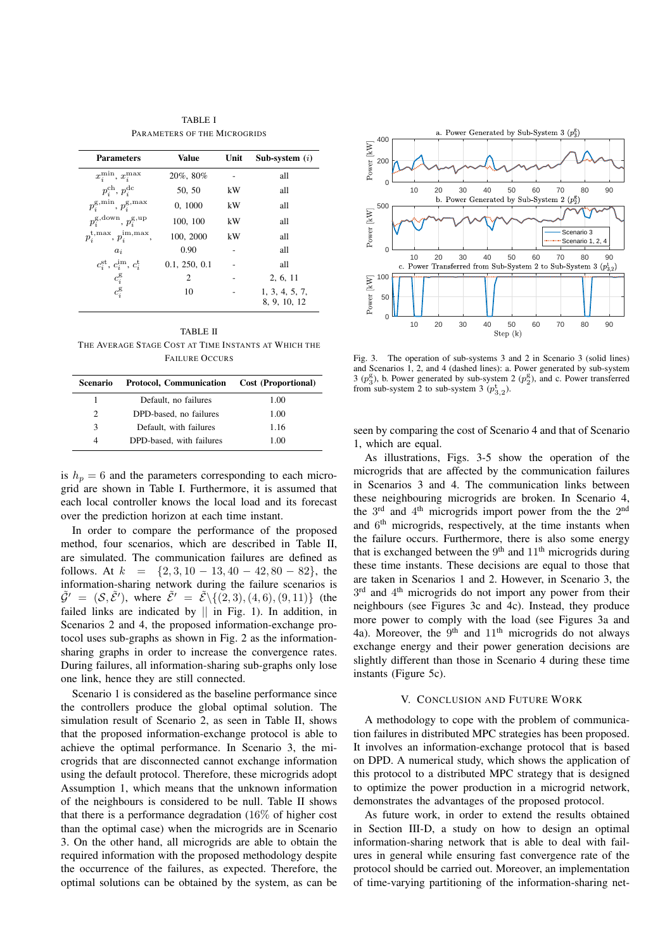TABLE I PARAMETERS OF THE MICROGRIDS

| <b>Parameters</b>                                  | <b>Value</b>  | Unit | Sub-system $(i)$               |
|----------------------------------------------------|---------------|------|--------------------------------|
| $x_i^{\min}, x_i^{\max}$                           | 20%, 80%      |      | all                            |
| $p_i^{\text{ch}}, p_i^{\text{dc}}$                 | 50, 50        | kW   | all                            |
| $p_i^{\text{g,min}}, p_i^{\text{g,max}}$           | 0, 1000       | kW   | all                            |
| $p_i^{\text{g,down}}, p_i^{\text{g,up}}$           | 100, 100      | kW   | all                            |
| $p_i^{\text{t,max}}, p_i^{\text{im,max}}$          | 100, 2000     | kW   | all                            |
| $a_i$                                              | 0.90          |      | all                            |
| $c_i^{\text{st}}, c_i^{\text{im}}, c_i^{\text{t}}$ | 0.1, 250, 0.1 |      | all                            |
| $c_i^{\mathrm{g}}$                                 | 2             |      | 2, 6, 11                       |
| $c_i^{\mathrm{g}}$                                 | 10            |      | 1, 3, 4, 5, 7,<br>8, 9, 10, 12 |

TABLE II THE AVERAGE STAGE COST AT TIME INSTANTS AT WHICH THE FAILURE OCCURS

| <b>Scenario</b> | Protocol, Communication  | Cost (Proportional) |
|-----------------|--------------------------|---------------------|
|                 | Default, no failures     | 1.00                |
| 2               | DPD-based, no failures   | 1.00                |
| $\mathcal{F}$   | Default, with failures   | 1.16                |
| 4               | DPD-based, with failures | 1.00                |

is  $h_p = 6$  and the parameters corresponding to each microgrid are shown in Table I. Furthermore, it is assumed that each local controller knows the local load and its forecast over the prediction horizon at each time instant.

In order to compare the performance of the proposed method, four scenarios, which are described in Table II, are simulated. The communication failures are defined as follows. At  $k = \{2, 3, 10 - 13, 40 - 42, 80 - 82\}$ , the information-sharing network during the failure scenarios is  $\tilde{\mathcal{G}}' = (\mathcal{S}, \tilde{\mathcal{E}}')$ , where  $\tilde{\mathcal{E}}' = \tilde{\mathcal{E}} \setminus \{ (2, 3), (4, 6), (9, 11) \}$  (the failed links are indicated by  $\parallel$  in Fig. 1). In addition, in Scenarios 2 and 4, the proposed information-exchange protocol uses sub-graphs as shown in Fig. 2 as the informationsharing graphs in order to increase the convergence rates. During failures, all information-sharing sub-graphs only lose one link, hence they are still connected.

Scenario 1 is considered as the baseline performance since the controllers produce the global optimal solution. The simulation result of Scenario 2, as seen in Table II, shows that the proposed information-exchange protocol is able to achieve the optimal performance. In Scenario 3, the microgrids that are disconnected cannot exchange information using the default protocol. Therefore, these microgrids adopt Assumption 1, which means that the unknown information of the neighbours is considered to be null. Table II shows that there is a performance degradation (16% of higher cost than the optimal case) when the microgrids are in Scenario 3. On the other hand, all microgrids are able to obtain the required information with the proposed methodology despite the occurrence of the failures, as expected. Therefore, the optimal solutions can be obtained by the system, as can be



Fig. 3. The operation of sub-systems 3 and 2 in Scenario 3 (solid lines) and Scenarios 1, 2, and 4 (dashed lines): a. Power generated by sub-system 3  $(p_3^g)$ , b. Power generated by sub-system 2  $(p_2^g)$ , and c. Power transferred from sub-system 2 to sub-system 3  $(p_{3,2}^t)$ .

seen by comparing the cost of Scenario 4 and that of Scenario 1, which are equal.

As illustrations, Figs. 3-5 show the operation of the microgrids that are affected by the communication failures in Scenarios 3 and 4. The communication links between these neighbouring microgrids are broken. In Scenario 4, the 3<sup>rd</sup> and 4<sup>th</sup> microgrids import power from the the 2<sup>nd</sup> and 6<sup>th</sup> microgrids, respectively, at the time instants when the failure occurs. Furthermore, there is also some energy that is exchanged between the  $9<sup>th</sup>$  and  $11<sup>th</sup>$  microgrids during these time instants. These decisions are equal to those that are taken in Scenarios 1 and 2. However, in Scenario 3, the 3<sup>rd</sup> and 4<sup>th</sup> microgrids do not import any power from their neighbours (see Figures 3c and 4c). Instead, they produce more power to comply with the load (see Figures 3a and 4a). Moreover, the  $9<sup>th</sup>$  and  $11<sup>th</sup>$  microgrids do not always exchange energy and their power generation decisions are slightly different than those in Scenario 4 during these time instants (Figure 5c).

#### V. CONCLUSION AND FUTURE WORK

A methodology to cope with the problem of communication failures in distributed MPC strategies has been proposed. It involves an information-exchange protocol that is based on DPD. A numerical study, which shows the application of this protocol to a distributed MPC strategy that is designed to optimize the power production in a microgrid network, demonstrates the advantages of the proposed protocol.

As future work, in order to extend the results obtained in Section III-D, a study on how to design an optimal information-sharing network that is able to deal with failures in general while ensuring fast convergence rate of the protocol should be carried out. Moreover, an implementation of time-varying partitioning of the information-sharing net-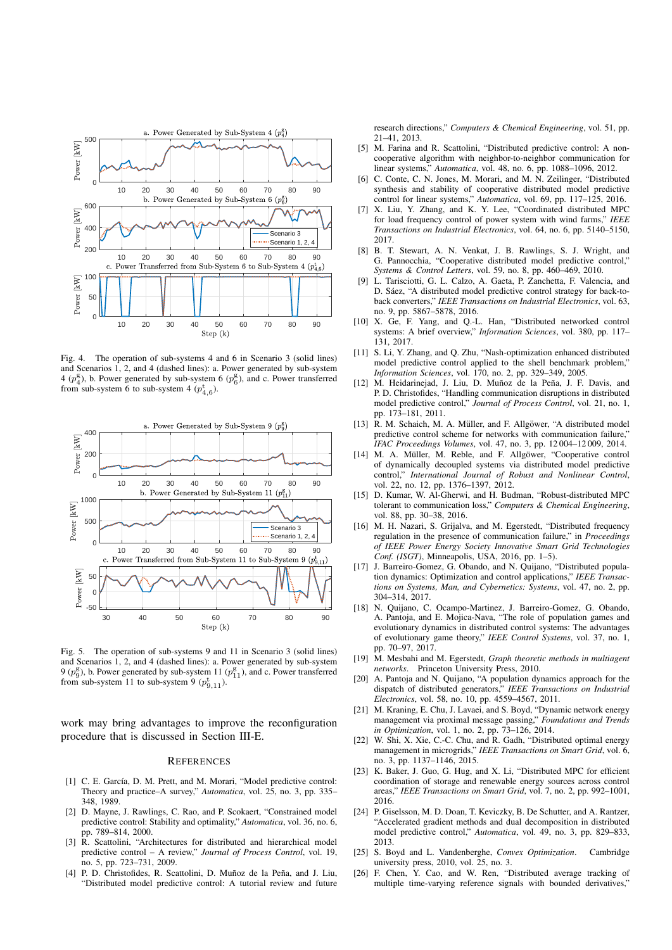

Fig. 4. The operation of sub-systems 4 and 6 in Scenario 3 (solid lines) and Scenarios 1, 2, and 4 (dashed lines): a. Power generated by sub-system 4 ( $p_4^{\rm g}$ ), b. Power generated by sub-system 6 ( $p_6^{\rm g}$ ), and c. Power transferred from sub-system 6 to sub-system 4  $(p_{4,6}^t)$ .



Fig. 5. The operation of sub-systems 9 and 11 in Scenario 3 (solid lines) and Scenarios 1, 2, and 4 (dashed lines): a. Power generated by sub-system 9 ( $p_9^{\rm g}$ ), b. Power generated by sub-system 11 ( $p_{11}^{\rm g}$ ), and c. Power transferred from sub-system 11 to sub-system 9  $(p_{9,11}^t)$ .

work may bring advantages to improve the reconfiguration procedure that is discussed in Section III-E.

#### **REFERENCES**

- [1] C. E. García, D. M. Prett, and M. Morari, "Model predictive control: Theory and practice–A survey," *Automatica*, vol. 25, no. 3, pp. 335– 348, 1989.
- [2] D. Mayne, J. Rawlings, C. Rao, and P. Scokaert, "Constrained model predictive control: Stability and optimality," *Automatica*, vol. 36, no. 6, pp. 789–814, 2000.
- [3] R. Scattolini, "Architectures for distributed and hierarchical model predictive control – A review," *Journal of Process Control*, vol. 19, no. 5, pp. 723–731, 2009.
- [4] P. D. Christofides, R. Scattolini, D. Muñoz de la Peña, and J. Liu, "Distributed model predictive control: A tutorial review and future

research directions," *Computers & Chemical Engineering*, vol. 51, pp. 21–41, 2013.

- [5] M. Farina and R. Scattolini, "Distributed predictive control: A noncooperative algorithm with neighbor-to-neighbor communication for linear systems," *Automatica*, vol. 48, no. 6, pp. 1088–1096, 2012.
- [6] C. Conte, C. N. Jones, M. Morari, and M. N. Zeilinger, "Distributed synthesis and stability of cooperative distributed model predictive control for linear systems," *Automatica*, vol. 69, pp. 117–125, 2016.
- [7] X. Liu, Y. Zhang, and K. Y. Lee, "Coordinated distributed MPC for load frequency control of power system with wind farms," *IEEE Transactions on Industrial Electronics*, vol. 64, no. 6, pp. 5140–5150, 2017.
- [8] B. T. Stewart, A. N. Venkat, J. B. Rawlings, S. J. Wright, and G. Pannocchia, "Cooperative distributed model predictive control," *Systems & Control Letters*, vol. 59, no. 8, pp. 460–469, 2010.
- [9] L. Tarisciotti, G. L. Calzo, A. Gaeta, P. Zanchetta, F. Valencia, and D. Sáez, "A distributed model predictive control strategy for back-toback converters," *IEEE Transactions on Industrial Electronics*, vol. 63, no. 9, pp. 5867–5878, 2016.
- [10] X. Ge, F. Yang, and Q.-L. Han, "Distributed networked control systems: A brief overview," *Information Sciences*, vol. 380, pp. 117– 131, 2017.
- [11] S. Li, Y. Zhang, and Q. Zhu, "Nash-optimization enhanced distributed model predictive control applied to the shell benchmark problem," *Information Sciences*, vol. 170, no. 2, pp. 329–349, 2005.
- [12] M. Heidarinejad, J. Liu, D. Muñoz de la Peña, J. F. Davis, and P. D. Christofides, "Handling communication disruptions in distributed model predictive control," *Journal of Process Control*, vol. 21, no. 1, pp. 173–181, 2011.
- [13] R. M. Schaich, M. A. Müller, and F. Allgöwer, "A distributed model predictive control scheme for networks with communication failure," *IFAC Proceedings Volumes*, vol. 47, no. 3, pp. 12 004–12 009, 2014.
- [14] M. A. Müller, M. Reble, and F. Allgöwer, "Cooperative control of dynamically decoupled systems via distributed model predictive control," *International Journal of Robust and Nonlinear Control*, vol. 22, no. 12, pp. 1376-1397, 2012.
- [15] D. Kumar, W. Al-Gherwi, and H. Budman, "Robust-distributed MPC tolerant to communication loss," *Computers & Chemical Engineering*, vol. 88, pp. 30–38, 2016.
- [16] M. H. Nazari, S. Grijalva, and M. Egerstedt, "Distributed frequency regulation in the presence of communication failure," in *Proceedings of IEEE Power Energy Society Innovative Smart Grid Technologies Conf. (ISGT)*, Minneapolis, USA, 2016, pp. 1–5).
- [17] J. Barreiro-Gomez, G. Obando, and N. Quijano, "Distributed population dynamics: Optimization and control applications," *IEEE Transactions on Systems, Man, and Cybernetics: Systems*, vol. 47, no. 2, pp. 304–314, 2017.
- [18] N. Quijano, C. Ocampo-Martinez, J. Barreiro-Gomez, G. Obando, A. Pantoja, and E. Mojica-Nava, "The role of population games and evolutionary dynamics in distributed control systems: The advantages of evolutionary game theory," *IEEE Control Systems*, vol. 37, no. 1, pp. 70–97, 2017.
- [19] M. Mesbahi and M. Egerstedt, *Graph theoretic methods in multiagent networks*. Princeton University Press, 2010.
- [20] A. Pantoja and N. Quijano, "A population dynamics approach for the dispatch of distributed generators," *IEEE Transactions on Industrial Electronics*, vol. 58, no. 10, pp. 4559–4567, 2011.
- [21] M. Kraning, E. Chu, J. Lavaei, and S. Boyd, "Dynamic network energy management via proximal message passing," *Foundations and Trends in Optimization*, vol. 1, no. 2, pp. 73–126, 2014.
- [22] W. Shi, X. Xie, C.-C. Chu, and R. Gadh, "Distributed optimal energy management in microgrids," *IEEE Transactions on Smart Grid*, vol. 6, no. 3, pp. 1137–1146, 2015.
- [23] K. Baker, J. Guo, G. Hug, and X. Li, "Distributed MPC for efficient coordination of storage and renewable energy sources across control areas," *IEEE Transactions on Smart Grid*, vol. 7, no. 2, pp. 992–1001, 2016.
- [24] P. Giselsson, M. D. Doan, T. Keviczky, B. De Schutter, and A. Rantzer, "Accelerated gradient methods and dual decomposition in distributed model predictive control," *Automatica*, vol. 49, no. 3, pp. 829–833, 2013.
- [25] S. Boyd and L. Vandenberghe, *Convex Optimization*. Cambridge university press, 2010, vol.  $25$ , no. 3.
- [26] F. Chen, Y. Cao, and W. Ren, "Distributed average tracking of multiple time-varying reference signals with bounded derivatives,"